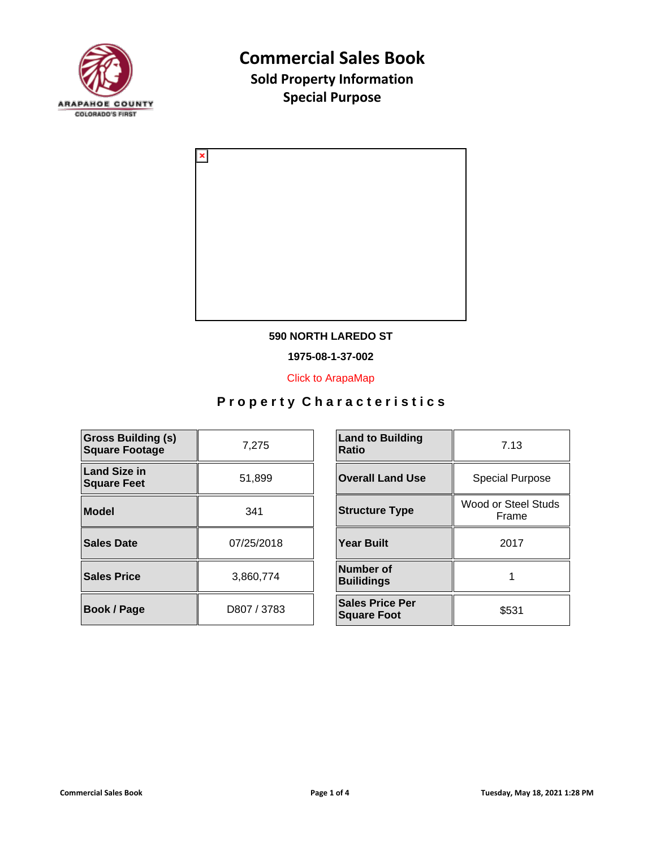



#### **590 NORTH LAREDO ST**

**1975-08-1-37-002**

[Click to ArapaMap](https://gis.arapahoegov.com/arapamaplite/?PARCEL=1975-08-1-37-002)

| <b>Gross Building (s)</b><br><b>Square Footage</b> | 7,275       | <b>Land to Building</b><br><b>Ratio</b>      |
|----------------------------------------------------|-------------|----------------------------------------------|
|                                                    |             |                                              |
| <b>Land Size in</b><br><b>Square Feet</b>          | 51,899      | <b>Overall Land Use</b>                      |
| <b>Model</b>                                       | 341         | <b>Structure Type</b>                        |
| <b>Sales Date</b>                                  | 07/25/2018  | <b>Year Built</b>                            |
| <b>Sales Price</b>                                 | 3,860,774   | <b>Number of</b><br><b>Builidings</b>        |
| <b>Book / Page</b>                                 | D807 / 3783 | <b>Sales Price Per</b><br><b>Square Foot</b> |

| <b>Land to Building</b><br>Ratio             | 7.13                         |
|----------------------------------------------|------------------------------|
| <b>Overall Land Use</b>                      | <b>Special Purpose</b>       |
| <b>Structure Type</b>                        | Wood or Steel Studs<br>Frame |
| Year Built                                   | 2017                         |
| Number of<br><b>Builidings</b>               |                              |
| <b>Sales Price Per</b><br><b>Square Foot</b> | \$531                        |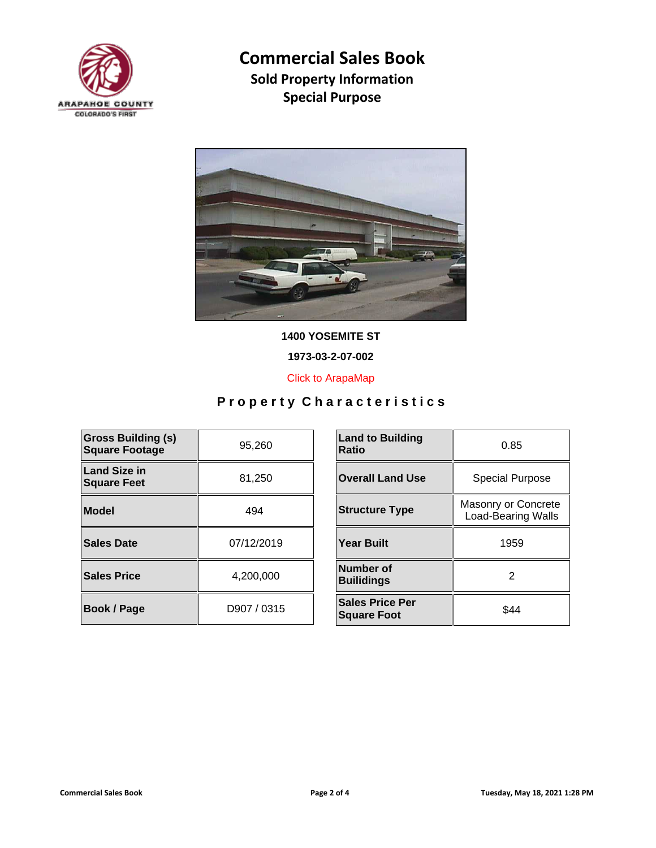



**1400 YOSEMITE ST**

**1973-03-2-07-002**

[Click to ArapaMap](https://gis.arapahoegov.com/arapamaplite/?PARCEL=1973-03-2-07-002)

| <b>Gross Building (s)</b><br><b>Square Footage</b> | 95,260      | <b>Land to Building</b><br><b>Ratio</b>      |
|----------------------------------------------------|-------------|----------------------------------------------|
| <b>Land Size in</b><br><b>Square Feet</b>          | 81,250      | <b>Overall Land Use</b>                      |
| Model                                              | 494         | <b>Structure Type</b>                        |
| Sales Date                                         | 07/12/2019  | <b>Year Built</b>                            |
| <b>Sales Price</b>                                 | 4,200,000   | Number of<br><b>Builidings</b>               |
| <b>Book / Page</b>                                 | D907 / 0315 | <b>Sales Price Per</b><br><b>Square Foot</b> |

| <b>Land to Building</b><br>Ratio             | 0.85                                             |
|----------------------------------------------|--------------------------------------------------|
| <b>Overall Land Use</b>                      | <b>Special Purpose</b>                           |
| <b>Structure Type</b>                        | Masonry or Concrete<br><b>Load-Bearing Walls</b> |
| <b>Year Built</b>                            | 1959                                             |
| Number of<br><b>Builidings</b>               | 2                                                |
| <b>Sales Price Per</b><br><b>Square Foot</b> | \$44                                             |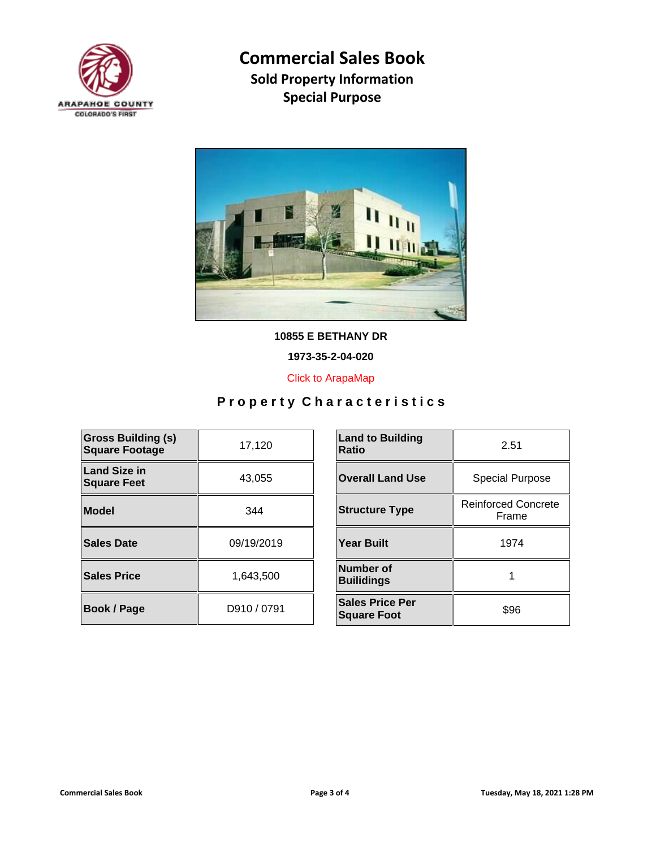



**10855 E BETHANY DR**

**1973-35-2-04-020**

[Click to ArapaMap](https://gis.arapahoegov.com/arapamaplite/?PARCEL=1973-35-2-04-020)

| <b>Gross Building (s)</b><br><b>Square Footage</b> | 17,120      | <b>Land to Building</b><br><b>Ratio</b>      |
|----------------------------------------------------|-------------|----------------------------------------------|
| <b>Land Size in</b><br><b>Square Feet</b>          | 43,055      | <b>Overall Land Use</b>                      |
| Model                                              | 344         | <b>Structure Type</b>                        |
| Sales Date                                         | 09/19/2019  | <b>Year Built</b>                            |
| <b>Sales Price</b>                                 | 1,643,500   | Number of<br><b>Builidings</b>               |
| <b>Book / Page</b>                                 | D910 / 0791 | <b>Sales Price Per</b><br><b>Square Foot</b> |

| <b>Land to Building</b><br>Ratio             | 2.51                                |
|----------------------------------------------|-------------------------------------|
| <b>Overall Land Use</b>                      | <b>Special Purpose</b>              |
| <b>Structure Type</b>                        | <b>Reinforced Concrete</b><br>Frame |
| Year Built                                   | 1974                                |
| Number of<br><b>Builidings</b>               |                                     |
| <b>Sales Price Per</b><br><b>Square Foot</b> | \$96                                |